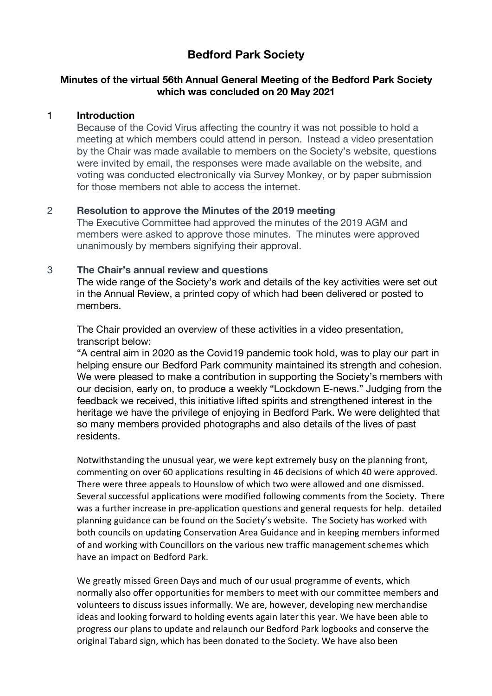# **Bedford Park Society**

## **Minutes of the virtual 56th Annual General Meeting of the Bedford Park Society which was concluded on 20 May 2021**

#### 1 **Introduction**

Because of the Covid Virus affecting the country it was not possible to hold a meeting at which members could attend in person. Instead a video presentation by the Chair was made available to members on the Society's website, questions were invited by email, the responses were made available on the website, and voting was conducted electronically via Survey Monkey, or by paper submission for those members not able to access the internet.

#### 2 **Resolution to approve the Minutes of the 2019 meeting**

The Executive Committee had approved the minutes of the 2019 AGM and members were asked to approve those minutes. The minutes were approved unanimously by members signifying their approval.

## 3 **The Chair's annual review and questions**

The wide range of the Society's work and details of the key activities were set out in the Annual Review, a printed copy of which had been delivered or posted to members.

The Chair provided an overview of these activities in a video presentation, transcript below:

"A central aim in 2020 as the Covid19 pandemic took hold, was to play our part in helping ensure our Bedford Park community maintained its strength and cohesion. We were pleased to make a contribution in supporting the Society's members with our decision, early on, to produce a weekly "Lockdown E-news." Judging from the feedback we received, this initiative lifted spirits and strengthened interest in the heritage we have the privilege of enjoying in Bedford Park. We were delighted that so many members provided photographs and also details of the lives of past residents.

Notwithstanding the unusual year, we were kept extremely busy on the planning front, commenting on over 60 applications resulting in 46 decisions of which 40 were approved. There were three appeals to Hounslow of which two were allowed and one dismissed. Several successful applications were modified following comments from the Society. There was a further increase in pre-application questions and general requests for help. detailed planning guidance can be found on the Society's website. The Society has worked with both councils on updating Conservation Area Guidance and in keeping members informed of and working with Councillors on the various new traffic management schemes which have an impact on Bedford Park.

We greatly missed Green Days and much of our usual programme of events, which normally also offer opportunities for members to meet with our committee members and volunteers to discuss issues informally. We are, however, developing new merchandise ideas and looking forward to holding events again later this year. We have been able to progress our plans to update and relaunch our Bedford Park logbooks and conserve the original Tabard sign, which has been donated to the Society. We have also been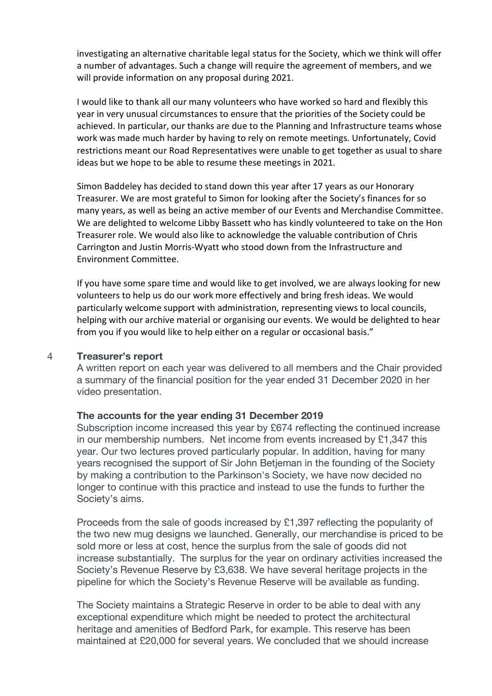investigating an alternative charitable legal status for the Society, which we think will offer a number of advantages. Such a change will require the agreement of members, and we will provide information on any proposal during 2021.

I would like to thank all our many volunteers who have worked so hard and flexibly this year in very unusual circumstances to ensure that the priorities of the Society could be achieved. In particular, our thanks are due to the Planning and Infrastructure teams whose work was made much harder by having to rely on remote meetings. Unfortunately, Covid restrictions meant our Road Representatives were unable to get together as usual to share ideas but we hope to be able to resume these meetings in 2021.

Simon Baddeley has decided to stand down this year after 17 years as our Honorary Treasurer. We are most grateful to Simon for looking after the Society's finances for so many years, as well as being an active member of our Events and Merchandise Committee. We are delighted to welcome Libby Bassett who has kindly volunteered to take on the Hon Treasurer role. We would also like to acknowledge the valuable contribution of Chris Carrington and Justin Morris-Wyatt who stood down from the Infrastructure and Environment Committee.

If you have some spare time and would like to get involved, we are always looking for new volunteers to help us do our work more effectively and bring fresh ideas. We would particularly welcome support with administration, representing views to local councils, helping with our archive material or organising our events. We would be delighted to hear from you if you would like to help either on a regular or occasional basis."

#### 4 **Treasurer's report**

A written report on each year was delivered to all members and the Chair provided a summary of the financial position for the year ended 31 December 2020 in her video presentation.

#### **The accounts for the year ending 31 December 2019**

Subscription income increased this year by £674 reflecting the continued increase in our membership numbers. Net income from events increased by £1,347 this year. Our two lectures proved particularly popular. In addition, having for many years recognised the support of Sir John Betjeman in the founding of the Society by making a contribution to the Parkinson's Society, we have now decided no longer to continue with this practice and instead to use the funds to further the Society's aims.

Proceeds from the sale of goods increased by £1,397 reflecting the popularity of the two new mug designs we launched. Generally, our merchandise is priced to be sold more or less at cost, hence the surplus from the sale of goods did not increase substantially. The surplus for the year on ordinary activities increased the Society's Revenue Reserve by £3,638. We have several heritage projects in the pipeline for which the Society's Revenue Reserve will be available as funding.

The Society maintains a Strategic Reserve in order to be able to deal with any exceptional expenditure which might be needed to protect the architectural heritage and amenities of Bedford Park, for example. This reserve has been maintained at £20,000 for several years. We concluded that we should increase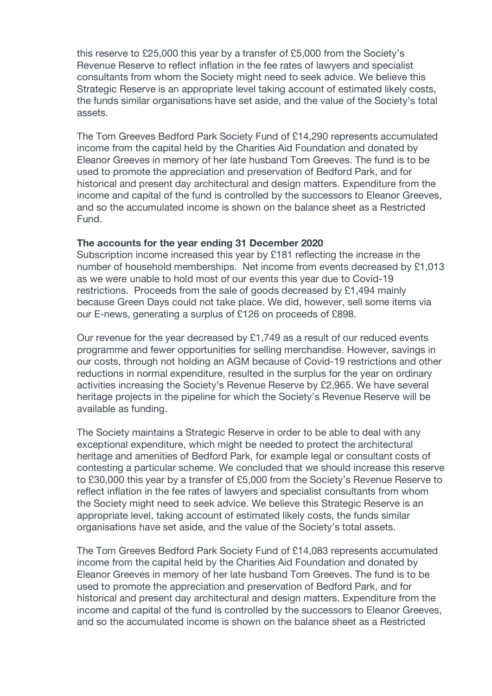this reserve to £25,000 this year by a transfer of £5,000 from the Society's Revenue Reserve to reflect inflation in the fee rates of lawyers and specialist consultants from whom the Society might need to seek advice. We believe this Strategic Reserve is an appropriate level taking account of estimated likely costs, the funds similar organisations have set aside, and the value of the Society's total assets.

The Tom Greeves Bedford Park Society Fund of £14,290 represents accumulated income from the capital held by the Charities Aid Foundation and donated by Eleanor Greeves in memory of her late husband Tom Greeves. The fund is to be used to promote the appreciation and preservation of Bedford Park, and for historical and present day architectural and design matters. Expenditure from the income and capital of the fund is controlled by the successors to Eleanor Greeves, and so the accumulated income is shown on the balance sheet as a Restricted Fund.

#### **The accounts for the year ending 31 December 2020**

Subscription income increased this year by £181 reflecting the increase in the number of household memberships. Net income from events decreased by £1,013 as we were unable to hold most of our events this year due to Covid-19 restrictions. Proceeds from the sale of goods decreased by £1,494 mainly because Green Days could not take place. We did, however, sell some items via our E-news, generating a surplus of £126 on proceeds of £898.

Our revenue for the year decreased by £1,749 as a result of our reduced events programme and fewer opportunities for selling merchandise. However, savings in our costs, through not holding an AGM because of Covid-19 restrictions and other reductions in normal expenditure, resulted in the surplus for the year on ordinary activities increasing the Society's Revenue Reserve by £2,965. We have several heritage projects in the pipeline for which the Society's Revenue Reserve will be available as funding.

The Society maintains a Strategic Reserve in order to be able to deal with any exceptional expenditure, which might be needed to protect the architectural heritage and amenities of Bedford Park, for example legal or consultant costs of contesting a particular scheme. We concluded that we should increase this reserve to £30,000 this year by a transfer of £5,000 from the Society's Revenue Reserve to reflect inflation in the fee rates of lawyers and specialist consultants from whom the Society might need to seek advice. We believe this Strategic Reserve is an appropriate level, taking account of estimated likely costs, the funds similar organisations have set aside, and the value of the Society's total assets.

The Tom Greeves Bedford Park Society Fund of £14,083 represents accumulated income from the capital held by the Charities Aid Foundation and donated by Eleanor Greeves in memory of her late husband Tom Greeves. The fund is to be used to promote the appreciation and preservation of Bedford Park, and for historical and present day architectural and design matters. Expenditure from the income and capital of the fund is controlled by the successors to Eleanor Greeves, and so the accumulated income is shown on the balance sheet as a Restricted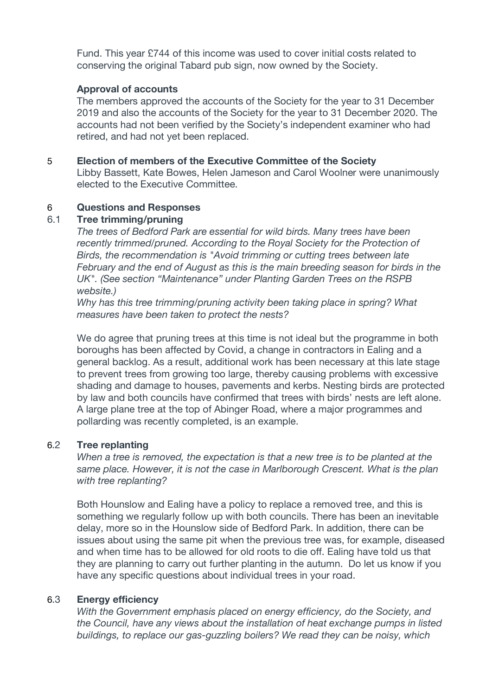Fund. This year £744 of this income was used to cover initial costs related to conserving the original Tabard pub sign, now owned by the Society.

#### **Approval of accounts**

The members approved the accounts of the Society for the year to 31 December 2019 and also the accounts of the Society for the year to 31 December 2020. The accounts had not been verified by the Society's independent examiner who had retired, and had not yet been replaced.

#### 5 **Election of members of the Executive Committee of the Society**

Libby Bassett, Kate Bowes, Helen Jameson and Carol Woolner were unanimously elected to the Executive Committee.

## 6 **Questions and Responses**

## 6.1 **Tree trimming/pruning**

*The trees of Bedford Park are essential for wild birds. Many trees have been recently trimmed/pruned. According to the Royal Society for the Protection of Birds, the recommendation is "Avoid trimming or cutting trees between late February and the end of August as this is the main breeding season for birds in the UK". (See section "Maintenance" under Planting Garden Trees on the RSPB website.)*

*Why has this tree trimming/pruning activity been taking place in spring? What measures have been taken to protect the nests?*

We do agree that pruning trees at this time is not ideal but the programme in both boroughs has been affected by Covid, a change in contractors in Ealing and a general backlog. As a result, additional work has been necessary at this late stage to prevent trees from growing too large, thereby causing problems with excessive shading and damage to houses, pavements and kerbs. Nesting birds are protected by law and both councils have confirmed that trees with birds' nests are left alone. A large plane tree at the top of Abinger Road, where a major programmes and pollarding was recently completed, is an example.

# 6.2 **Tree replanting**

*When a tree is removed, the expectation is that a new tree is to be planted at the same place. However, it is not the case in Marlborough Crescent. What is the plan with tree replanting?*

Both Hounslow and Ealing have a policy to replace a removed tree, and this is something we regularly follow up with both councils. There has been an inevitable delay, more so in the Hounslow side of Bedford Park. In addition, there can be issues about using the same pit when the previous tree was, for example, diseased and when time has to be allowed for old roots to die off. Ealing have told us that they are planning to carry out further planting in the autumn. Do let us know if you have any specific questions about individual trees in your road.

# 6.3 **Energy efficiency**

*With the Government emphasis placed on energy efficiency, do the Society, and the Council, have any views about the installation of heat exchange pumps in listed buildings, to replace our gas-guzzling boilers? We read they can be noisy, which*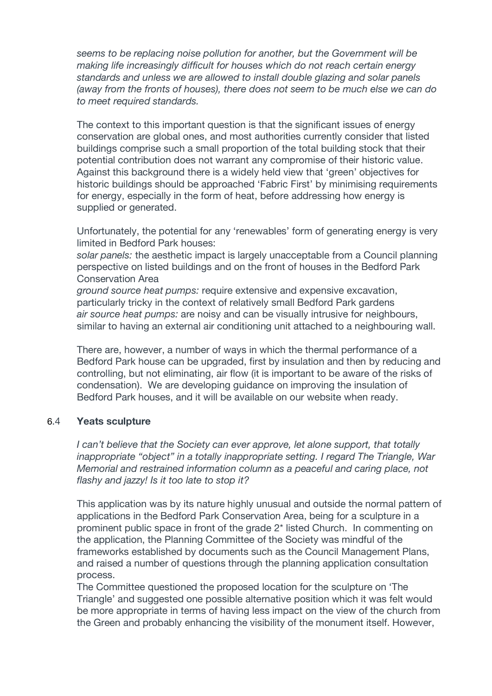*seems to be replacing noise pollution for another, but the Government will be making life increasingly difficult for houses which do not reach certain energy standards and unless we are allowed to install double glazing and solar panels (away from the fronts of houses), there does not seem to be much else we can do to meet required standards.*

The context to this important question is that the significant issues of energy conservation are global ones, and most authorities currently consider that listed buildings comprise such a small proportion of the total building stock that their potential contribution does not warrant any compromise of their historic value. Against this background there is a widely held view that 'green' objectives for historic buildings should be approached 'Fabric First' by minimising requirements for energy, especially in the form of heat, before addressing how energy is supplied or generated.

Unfortunately, the potential for any 'renewables' form of generating energy is very limited in Bedford Park houses:

*solar panels:* the aesthetic impact is largely unacceptable from a Council planning perspective on listed buildings and on the front of houses in the Bedford Park Conservation Area

*ground source heat pumps:* require extensive and expensive excavation, particularly tricky in the context of relatively small Bedford Park gardens *air source heat pumps:* are noisy and can be visually intrusive for neighbours, similar to having an external air conditioning unit attached to a neighbouring wall.

There are, however, a number of ways in which the thermal performance of a Bedford Park house can be upgraded, first by insulation and then by reducing and controlling, but not eliminating, air flow (it is important to be aware of the risks of condensation). We are developing guidance on improving the insulation of Bedford Park houses, and it will be available on our website when ready.

#### 6.4 **Yeats sculpture**

*I can't believe that the Society can ever approve, let alone support, that totally inappropriate "object" in a totally inappropriate setting. I regard The Triangle, War Memorial and restrained information column as a peaceful and caring place, not flashy and jazzy! Is it too late to stop it?*

This application was by its nature highly unusual and outside the normal pattern of applications in the Bedford Park Conservation Area, being for a sculpture in a prominent public space in front of the grade 2\* listed Church. In commenting on the application, the Planning Committee of the Society was mindful of the frameworks established by documents such as the Council Management Plans, and raised a number of questions through the planning application consultation process.

The Committee questioned the proposed location for the sculpture on 'The Triangle' and suggested one possible alternative position which it was felt would be more appropriate in terms of having less impact on the view of the church from the Green and probably enhancing the visibility of the monument itself. However,